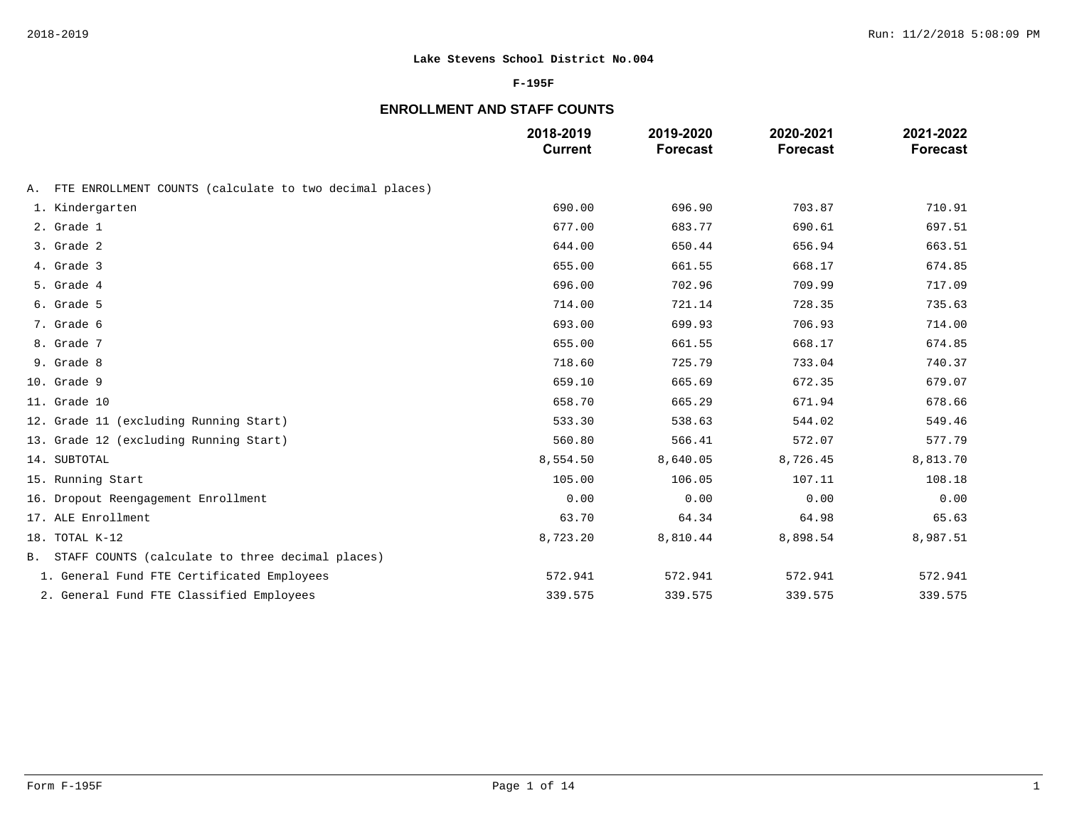### **F-195F**

# **ENROLLMENT AND STAFF COUNTS**

|                                                            | 2018-2019<br><b>Current</b> | 2019-2020<br><b>Forecast</b> | 2020-2021<br><b>Forecast</b> | 2021-2022<br><b>Forecast</b> |
|------------------------------------------------------------|-----------------------------|------------------------------|------------------------------|------------------------------|
| A. FTE ENROLLMENT COUNTS (calculate to two decimal places) |                             |                              |                              |                              |
| 1. Kindergarten                                            | 690.00                      | 696.90                       | 703.87                       | 710.91                       |
| 2. Grade 1                                                 | 677.00                      | 683.77                       | 690.61                       | 697.51                       |
| 3. Grade 2                                                 | 644.00                      | 650.44                       | 656.94                       | 663.51                       |
| 4. Grade 3                                                 | 655.00                      | 661.55                       | 668.17                       | 674.85                       |
| 5. Grade 4                                                 | 696.00                      | 702.96                       | 709.99                       | 717.09                       |
| 6. Grade 5                                                 | 714.00                      | 721.14                       | 728.35                       | 735.63                       |
| 7. Grade 6                                                 | 693.00                      | 699.93                       | 706.93                       | 714.00                       |
| 8. Grade 7                                                 | 655.00                      | 661.55                       | 668.17                       | 674.85                       |
| 9. Grade 8                                                 | 718.60                      | 725.79                       | 733.04                       | 740.37                       |
| 10. Grade 9                                                | 659.10                      | 665.69                       | 672.35                       | 679.07                       |
| 11. Grade 10                                               | 658.70                      | 665.29                       | 671.94                       | 678.66                       |
| 12. Grade 11 (excluding Running Start)                     | 533.30                      | 538.63                       | 544.02                       | 549.46                       |
| 13. Grade 12 (excluding Running Start)                     | 560.80                      | 566.41                       | 572.07                       | 577.79                       |
| 14. SUBTOTAL                                               | 8,554.50                    | 8,640.05                     | 8,726.45                     | 8,813.70                     |
| 15. Running Start                                          | 105.00                      | 106.05                       | 107.11                       | 108.18                       |
| 16. Dropout Reengagement Enrollment                        | 0.00                        | 0.00                         | 0.00                         | 0.00                         |
| 17. ALE Enrollment                                         | 63.70                       | 64.34                        | 64.98                        | 65.63                        |
| 18. TOTAL K-12                                             | 8,723.20                    | 8,810.44                     | 8,898.54                     | 8,987.51                     |
| B. STAFF COUNTS (calculate to three decimal places)        |                             |                              |                              |                              |
| 1. General Fund FTE Certificated Employees                 | 572.941                     | 572.941                      | 572.941                      | 572.941                      |
| 2. General Fund FTE Classified Employees                   | 339.575                     | 339.575                      | 339.575                      | 339.575                      |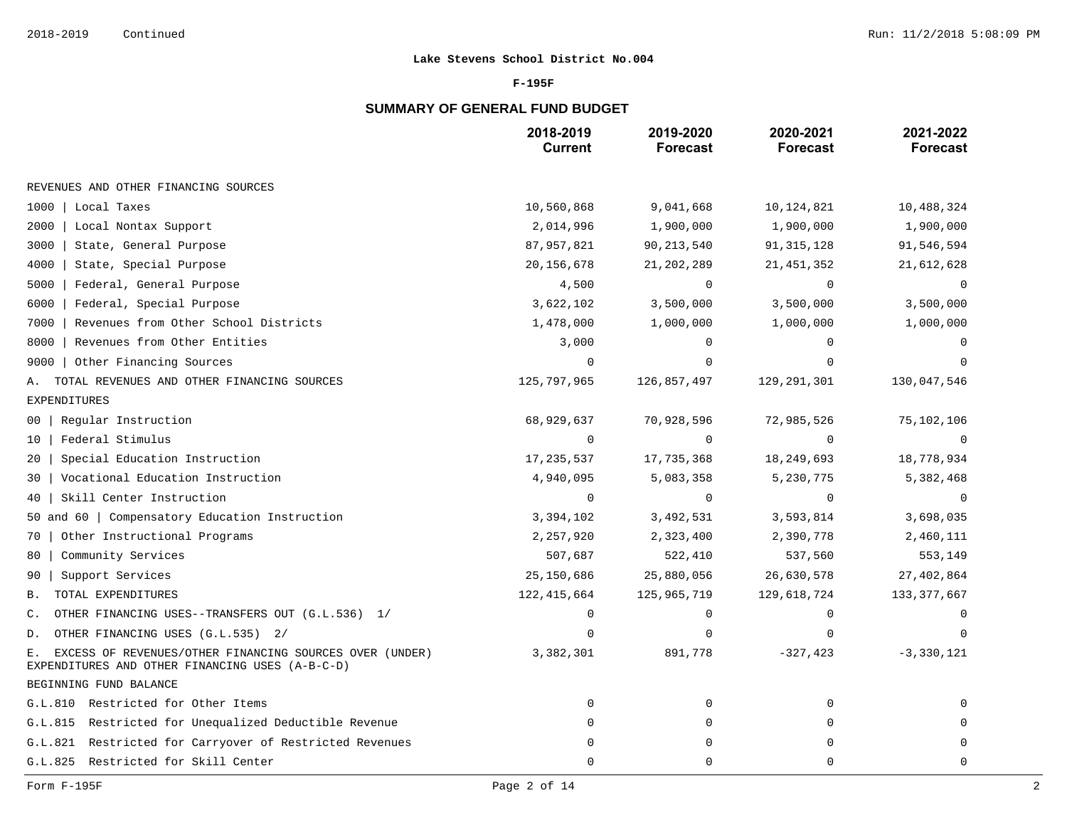### **F-195F**

# **SUMMARY OF GENERAL FUND BUDGET**

|                                                                                                                  | 2018-2019<br><b>Current</b> | 2019-2020<br><b>Forecast</b> | 2020-2021<br><b>Forecast</b> | 2021-2022<br><b>Forecast</b> |
|------------------------------------------------------------------------------------------------------------------|-----------------------------|------------------------------|------------------------------|------------------------------|
| REVENUES AND OTHER FINANCING SOURCES                                                                             |                             |                              |                              |                              |
| 1000<br>Local Taxes                                                                                              | 10,560,868                  | 9,041,668                    | 10, 124, 821                 | 10,488,324                   |
| 2000<br>Local Nontax Support                                                                                     | 2,014,996                   | 1,900,000                    | 1,900,000                    | 1,900,000                    |
| 3000<br>State, General Purpose                                                                                   | 87,957,821                  | 90, 213, 540                 | 91, 315, 128                 | 91,546,594                   |
| 4000<br>State, Special Purpose                                                                                   | 20, 156, 678                | 21, 202, 289                 | 21, 451, 352                 | 21,612,628                   |
| 5000<br>Federal, General Purpose                                                                                 | 4,500                       | $\mathbf 0$                  | $\mathbf 0$                  | 0                            |
| 6000<br>Federal, Special Purpose                                                                                 | 3,622,102                   | 3,500,000                    | 3,500,000                    | 3,500,000                    |
| Revenues from Other School Districts<br>7000                                                                     | 1,478,000                   | 1,000,000                    | 1,000,000                    | 1,000,000                    |
| Revenues from Other Entities<br>8000                                                                             | 3,000                       | 0                            | $\Omega$                     |                              |
| 9000<br>Other Financing Sources                                                                                  | $\Omega$                    | $\Omega$                     | $\Omega$                     |                              |
| TOTAL REVENUES AND OTHER FINANCING SOURCES<br>А.                                                                 | 125,797,965                 | 126,857,497                  | 129, 291, 301                | 130,047,546                  |
| EXPENDITURES                                                                                                     |                             |                              |                              |                              |
| Regular Instruction<br>$00-1$                                                                                    | 68,929,637                  | 70,928,596                   | 72,985,526                   | 75,102,106                   |
| Federal Stimulus<br>10                                                                                           | $\overline{0}$              | $\mathbf 0$                  | $\mathbf 0$                  | $\overline{0}$               |
| Special Education Instruction<br>20                                                                              | 17,235,537                  | 17,735,368                   | 18, 249, 693                 | 18,778,934                   |
| Vocational Education Instruction<br>30                                                                           | 4,940,095                   | 5,083,358                    | 5,230,775                    | 5,382,468                    |
| Skill Center Instruction<br>40                                                                                   | $\mathbf 0$                 | $\mathbf 0$                  | 0                            | 0                            |
| 50 and 60   Compensatory Education Instruction                                                                   | 3,394,102                   | 3,492,531                    | 3,593,814                    | 3,698,035                    |
| Other Instructional Programs<br>70                                                                               | 2,257,920                   | 2,323,400                    | 2,390,778                    | 2,460,111                    |
| Community Services<br>80                                                                                         | 507,687                     | 522,410                      | 537,560                      | 553,149                      |
| Support Services<br>90                                                                                           | 25,150,686                  | 25,880,056                   | 26,630,578                   | 27,402,864                   |
| TOTAL EXPENDITURES<br>В.                                                                                         | 122, 415, 664               | 125,965,719                  | 129,618,724                  | 133, 377, 667                |
| OTHER FINANCING USES--TRANSFERS OUT (G.L.536) 1/<br>$\mathbb{C}$ .                                               | $\Omega$                    | 0                            | $\mathbf 0$                  |                              |
| OTHER FINANCING USES (G.L.535) 2/<br>D.                                                                          | $\Omega$                    | $\mathbf 0$                  | $\Omega$                     | $\mathbf 0$                  |
| EXCESS OF REVENUES/OTHER FINANCING SOURCES OVER (UNDER)<br>Е.<br>EXPENDITURES AND OTHER FINANCING USES (A-B-C-D) | 3,382,301                   | 891,778                      | $-327, 423$                  | $-3,330,121$                 |
| BEGINNING FUND BALANCE                                                                                           |                             |                              |                              |                              |
| G.L.810 Restricted for Other Items                                                                               | $\Omega$                    | $\mathbf 0$                  | $\mathbf 0$                  | $\Omega$                     |
| G.L.815 Restricted for Unequalized Deductible Revenue                                                            | $\mathbf 0$                 | 0                            | $\mathbf 0$                  | $\Omega$                     |
| G.L.821 Restricted for Carryover of Restricted Revenues                                                          | 0                           | 0                            | $\Omega$                     | $\mathbf 0$                  |
| G.L.825 Restricted for Skill Center                                                                              | $\mathbf 0$                 | $\mathbf 0$                  | $\Omega$                     | $\mathbf 0$                  |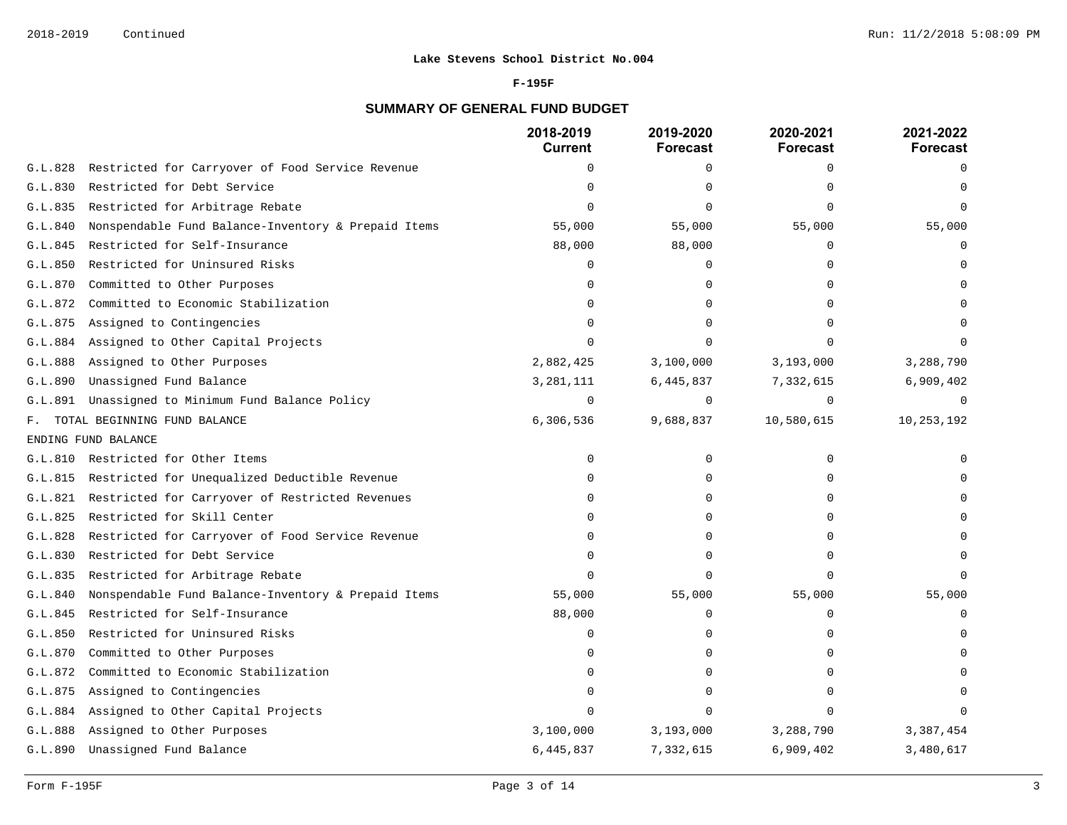#### **F-195F**

# **SUMMARY OF GENERAL FUND BUDGET**

|                |                                                     | 2018-2019<br><b>Current</b> | 2019-2020<br>Forecast | 2020-2021<br><b>Forecast</b> | 2021-2022<br><b>Forecast</b> |
|----------------|-----------------------------------------------------|-----------------------------|-----------------------|------------------------------|------------------------------|
| G.L.828        | Restricted for Carryover of Food Service Revenue    | 0                           | 0                     | $\Omega$                     | $\Omega$                     |
| G.L.830        | Restricted for Debt Service                         |                             | $\Omega$              |                              |                              |
| G.L.835        | Restricted for Arbitrage Rebate                     | $\cap$                      | $\Omega$              |                              |                              |
| G.L.840        | Nonspendable Fund Balance-Inventory & Prepaid Items | 55,000                      | 55,000                | 55,000                       | 55,000                       |
| G.L.845        | Restricted for Self-Insurance                       | 88,000                      | 88,000                | $\Omega$                     | $\cap$                       |
| G.L.850        | Restricted for Uninsured Risks                      | $\Omega$                    | 0                     | $\cap$                       |                              |
| G.L.870        | Committed to Other Purposes                         | O                           | $\Omega$              |                              |                              |
| G.L.872        | Committed to Economic Stabilization                 | $\Omega$                    | $\Omega$              |                              |                              |
| G.L.875        | Assigned to Contingencies                           | $\Omega$                    | $\Omega$              |                              |                              |
| G.L.884        | Assigned to Other Capital Projects                  | $\Omega$                    | $\Omega$              |                              |                              |
| G.L.888        | Assigned to Other Purposes                          | 2,882,425                   | 3,100,000             | 3,193,000                    | 3,288,790                    |
| G.L.890        | Unassigned Fund Balance                             | 3,281,111                   | 6,445,837             | 7,332,615                    | 6,909,402                    |
| G.L.891        | Unassigned to Minimum Fund Balance Policy           | $\mathbf 0$                 | $\mathbf 0$           | $\Omega$                     | $\Omega$                     |
| $F_{\rm{max}}$ | TOTAL BEGINNING FUND BALANCE                        | 6,306,536                   | 9,688,837             | 10,580,615                   | 10,253,192                   |
|                | ENDING FUND BALANCE                                 |                             |                       |                              |                              |
|                | G.L.810 Restricted for Other Items                  | $\Omega$                    | 0                     | $\Omega$                     |                              |
| G.L.815        | Restricted for Unequalized Deductible Revenue       | U                           | 0                     |                              |                              |
| G.L.821        | Restricted for Carryover of Restricted Revenues     | $\Omega$                    | $\Omega$              | ∩                            |                              |
| G.L.825        | Restricted for Skill Center                         | U                           | $\Omega$              |                              |                              |
| G.L.828        | Restricted for Carryover of Food Service Revenue    |                             | $\Omega$              |                              |                              |
| G.L.830        | Restricted for Debt Service                         | U                           | $\Omega$              | n                            |                              |
| G.L.835        | Restricted for Arbitrage Rebate                     | $\Omega$                    | $\Omega$              | $\cap$                       |                              |
| G.L.840        | Nonspendable Fund Balance-Inventory & Prepaid Items | 55,000                      | 55,000                | 55,000                       | 55,000                       |
| G.L.845        | Restricted for Self-Insurance                       | 88,000                      | $\Omega$              | $\Omega$                     | $\Omega$                     |
| G.L.850        | Restricted for Uninsured Risks                      | $\Omega$                    | 0                     | $\Omega$                     |                              |
| G.L.870        | Committed to Other Purposes                         | $\Omega$                    | 0                     | ∩                            |                              |
| G.L.872        | Committed to Economic Stabilization                 | U                           | $\Omega$              |                              |                              |
| G.L.875        | Assigned to Contingencies                           | $\Omega$                    | 0                     | $\Omega$                     |                              |
| G.L.884        | Assigned to Other Capital Projects                  | $\Omega$                    | $\Omega$              |                              |                              |
| G.L.888        | Assigned to Other Purposes                          | 3,100,000                   | 3,193,000             | 3,288,790                    | 3,387,454                    |
| G.L.890        | Unassigned Fund Balance                             | 6,445,837                   | 7,332,615             | 6,909,402                    | 3,480,617                    |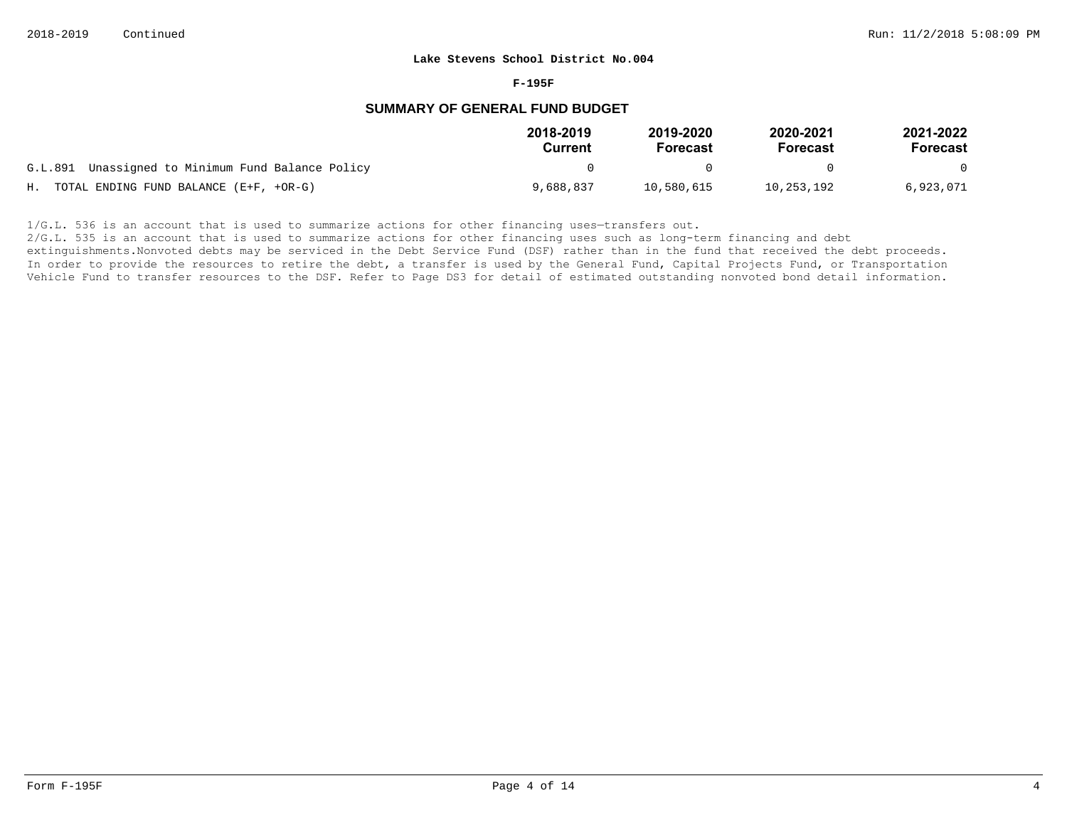#### **F-195F**

### **SUMMARY OF GENERAL FUND BUDGET**

|                                                   | 2018-2019<br>Current | 2019-2020<br><b>Forecast</b> | 2020-2021<br>Forecast | 2021-2022<br>Forecast |
|---------------------------------------------------|----------------------|------------------------------|-----------------------|-----------------------|
| G.L.891 Unassigned to Minimum Fund Balance Policy |                      |                              |                       | $\Omega$              |
| H. TOTAL ENDING FUND BALANCE (E+F, +OR-G)         | 9,688,837            | 10,580,615                   | 10,253,192            | 6,923,071             |

 $1/G.L.$  536 is an account that is used to summarize actions for other financing uses-transfers out.

2/G.L. 535 is an account that is used to summarize actions for other financing uses such as long-term financing and debt

extinguishments. Nonvoted debts may be serviced in the Debt Service Fund (DSF) rather than in the fund that received the debt proceeds. In order to provide the resources to retire the debt, a transfer is used by the General Fund, Capital Projects Fund, or Transportation Vehicle Fund to transfer resources to the DSF. Refer to Page DS3 for detail of estimated outstanding nonvoted bond detail information.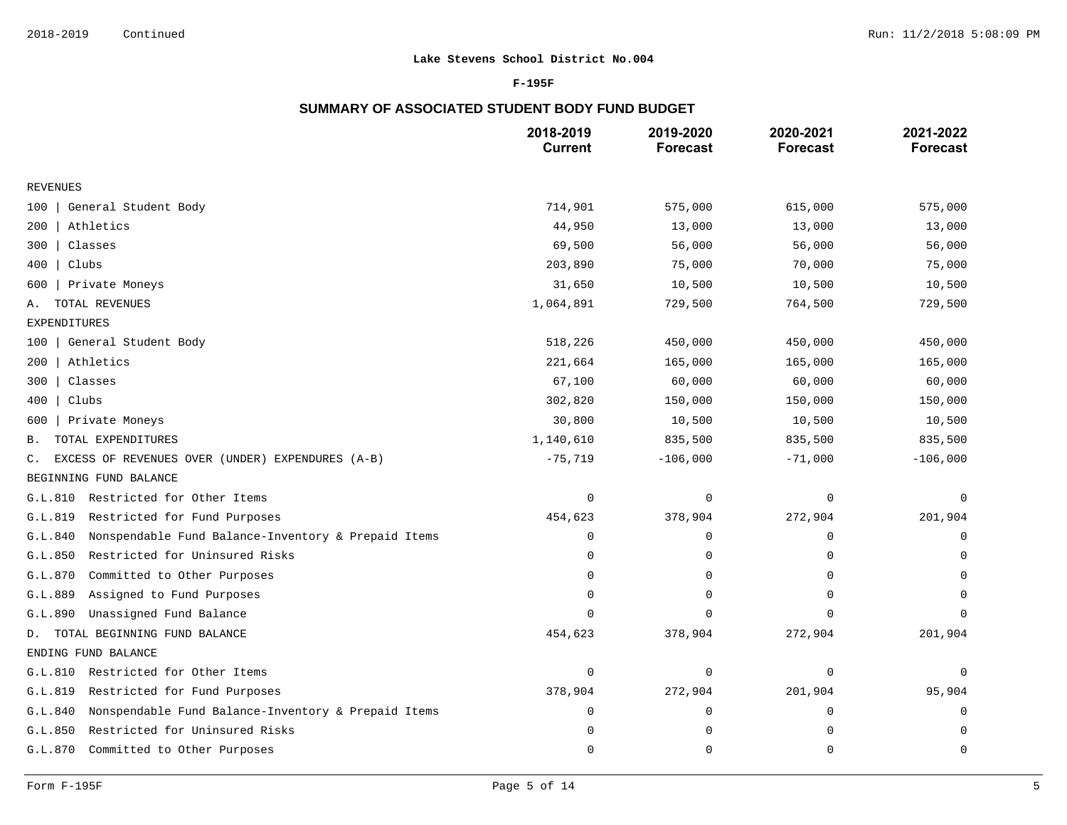### **F-195F**

# **SUMMARY OF ASSOCIATED STUDENT BODY FUND BUDGET**

|                                                                    | 2018-2019<br><b>Current</b> | 2019-2020<br><b>Forecast</b> | 2020-2021<br><b>Forecast</b> | 2021-2022<br><b>Forecast</b> |
|--------------------------------------------------------------------|-----------------------------|------------------------------|------------------------------|------------------------------|
| <b>REVENUES</b>                                                    |                             |                              |                              |                              |
| General Student Body<br>100                                        | 714,901                     | 575,000                      | 615,000                      | 575,000                      |
| Athletics<br>200                                                   | 44,950                      | 13,000                       | 13,000                       | 13,000                       |
| Classes<br>300                                                     | 69,500                      | 56,000                       | 56,000                       | 56,000                       |
| 400<br>Clubs                                                       | 203,890                     | 75,000                       | 70,000                       | 75,000                       |
| Private Moneys<br>600                                              | 31,650                      | 10,500                       | 10,500                       | 10,500                       |
| TOTAL REVENUES<br>Α.                                               | 1,064,891                   | 729,500                      | 764,500                      | 729,500                      |
| EXPENDITURES                                                       |                             |                              |                              |                              |
| General Student Body<br>100                                        | 518,226                     | 450,000                      | 450,000                      | 450,000                      |
| Athletics<br>200                                                   | 221,664                     | 165,000                      | 165,000                      | 165,000                      |
| 300<br>Classes                                                     | 67,100                      | 60,000                       | 60,000                       | 60,000                       |
| Clubs<br>400                                                       | 302,820                     | 150,000                      | 150,000                      | 150,000                      |
| Private Moneys<br>600                                              | 30,800                      | 10,500                       | 10,500                       | 10,500                       |
| TOTAL EXPENDITURES<br>В.                                           | 1,140,610                   | 835,500                      | 835,500                      | 835,500                      |
| EXCESS OF REVENUES OVER (UNDER) EXPENDURES (A-B)<br>$\mathsf{C}$ . | $-75,719$                   | $-106,000$                   | $-71,000$                    | $-106,000$                   |
| BEGINNING FUND BALANCE                                             |                             |                              |                              |                              |
| G.L.810<br>Restricted for Other Items                              | $\mathsf 0$                 | $\mathbf 0$                  | $\mathbf 0$                  | $\mathbf 0$                  |
| Restricted for Fund Purposes<br>G.L.819                            | 454,623                     | 378,904                      | 272,904                      | 201,904                      |
| Nonspendable Fund Balance-Inventory & Prepaid Items<br>G.L.840     | $\Omega$                    | 0                            | 0                            | $\mathbf 0$                  |
| G.L.850<br>Restricted for Uninsured Risks                          | $\Omega$                    | 0                            | 0                            | 0                            |
| Committed to Other Purposes<br>G.L.870                             | $\Omega$                    | 0                            | 0                            | $\Omega$                     |
| Assigned to Fund Purposes<br>G.L.889                               | $\mathbf 0$                 | 0                            | $\Omega$                     | $\Omega$                     |
| Unassigned Fund Balance<br>G.L.890                                 | $\Omega$                    | $\mathbf 0$                  | $\Omega$                     | $\Omega$                     |
| D. TOTAL BEGINNING FUND BALANCE                                    | 454,623                     | 378,904                      | 272,904                      | 201,904                      |
| ENDING FUND BALANCE                                                |                             |                              |                              |                              |
| Restricted for Other Items<br>G.L.810                              | $\mathbf 0$                 | 0                            | $\mathbf 0$                  | 0                            |
| Restricted for Fund Purposes<br>G.L.819                            | 378,904                     | 272,904                      | 201,904                      | 95,904                       |
| Nonspendable Fund Balance-Inventory & Prepaid Items<br>G.L.840     | $\Omega$                    | $\mathbf 0$                  | $\mathbf 0$                  | $\Omega$                     |
| G.L.850<br>Restricted for Uninsured Risks                          | $\mathbf 0$                 | 0                            | 0                            | $\mathbf 0$                  |
| G.L.870<br>Committed to Other Purposes                             | 0                           | 0                            | $\mathbf 0$                  | $\mathbf 0$                  |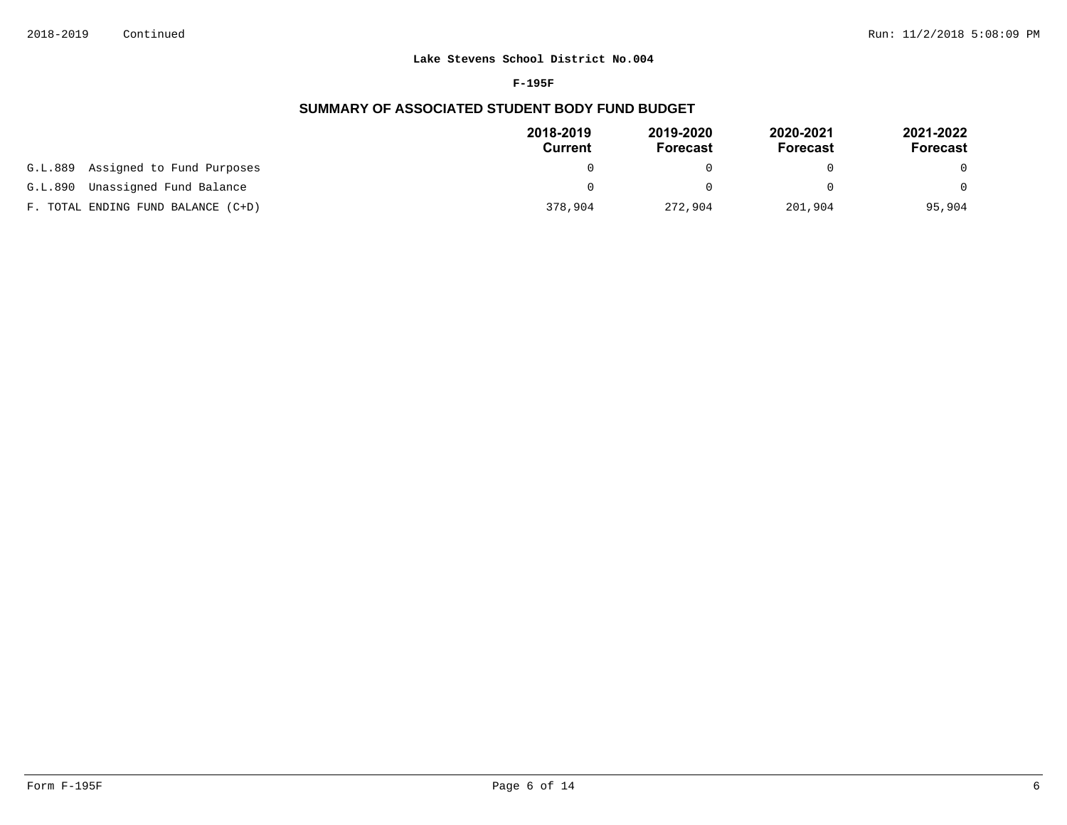#### **F-195F**

# **SUMMARY OF ASSOCIATED STUDENT BODY FUND BUDGET**

|                                    | 2018-2019<br>Current | 2019-2020<br><b>Forecast</b> | 2020-2021<br><b>Forecast</b> | 2021-2022<br>Forecast |
|------------------------------------|----------------------|------------------------------|------------------------------|-----------------------|
| G.L.889 Assigned to Fund Purposes  |                      |                              |                              |                       |
| Unassigned Fund Balance<br>G.L.890 |                      |                              |                              | $\Omega$              |
| F. TOTAL ENDING FUND BALANCE (C+D) | 378,904              | 272,904                      | 201,904                      | 95,904                |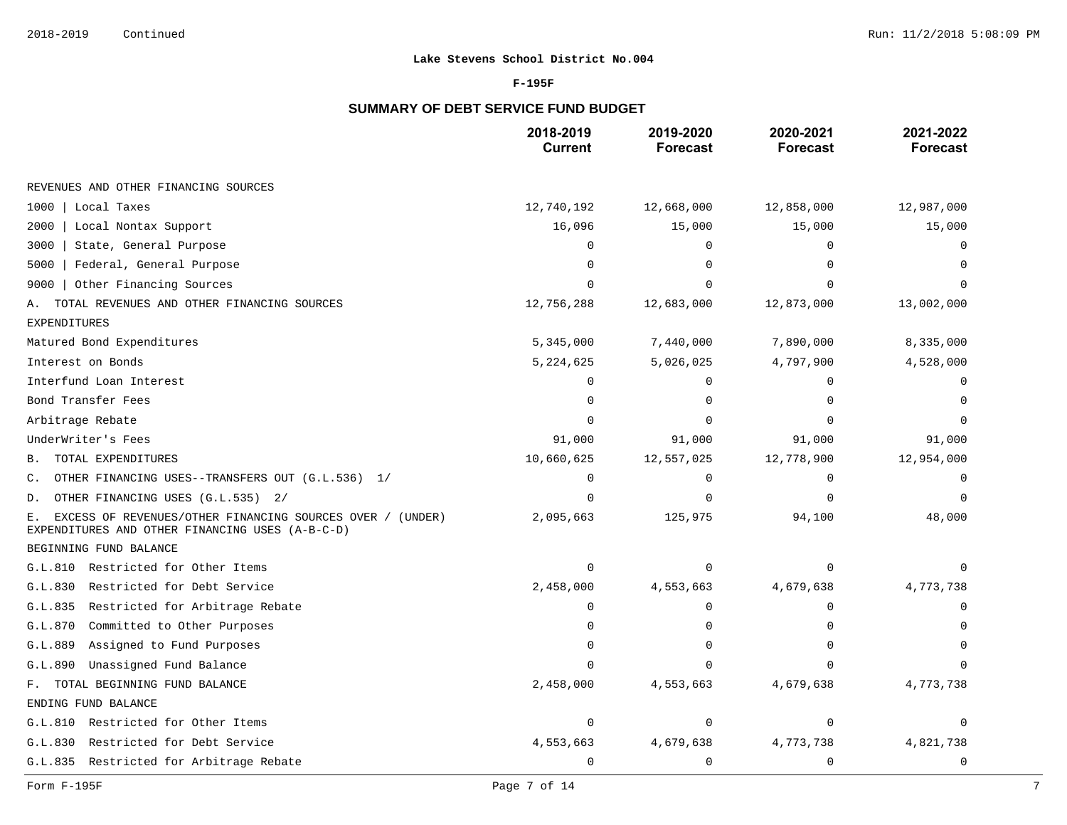### **F-195F**

# **SUMMARY OF DEBT SERVICE FUND BUDGET**

|                                                                                                                    | 2018-2019<br><b>Current</b> | 2019-2020<br><b>Forecast</b> | 2020-2021<br><b>Forecast</b> | 2021-2022<br><b>Forecast</b> |
|--------------------------------------------------------------------------------------------------------------------|-----------------------------|------------------------------|------------------------------|------------------------------|
| REVENUES AND OTHER FINANCING SOURCES                                                                               |                             |                              |                              |                              |
| 1000<br>Local Taxes                                                                                                | 12,740,192                  | 12,668,000                   | 12,858,000                   | 12,987,000                   |
| 2000<br>Local Nontax Support                                                                                       | 16,096                      | 15,000                       | 15,000                       | 15,000                       |
| 3000<br>State, General Purpose                                                                                     | O                           | 0                            | 0                            |                              |
| Federal, General Purpose<br>5000                                                                                   |                             | $\Omega$                     | $\Omega$                     |                              |
| Other Financing Sources<br>9000                                                                                    |                             | $\Omega$                     | O                            |                              |
| TOTAL REVENUES AND OTHER FINANCING SOURCES<br>Α.                                                                   | 12,756,288                  | 12,683,000                   | 12,873,000                   | 13,002,000                   |
| <b>EXPENDITURES</b>                                                                                                |                             |                              |                              |                              |
| Matured Bond Expenditures                                                                                          | 5,345,000                   | 7,440,000                    | 7,890,000                    | 8,335,000                    |
| Interest on Bonds                                                                                                  | 5,224,625                   | 5,026,025                    | 4,797,900                    | 4,528,000                    |
| Interfund Loan Interest                                                                                            | $\Omega$                    | $\Omega$                     | $\Omega$                     | $\Omega$                     |
| Bond Transfer Fees                                                                                                 |                             | O                            | O                            |                              |
| Arbitrage Rebate                                                                                                   |                             | $\Omega$                     | $\Omega$                     | $\Omega$                     |
| UnderWriter's Fees                                                                                                 | 91,000                      | 91,000                       | 91,000                       | 91,000                       |
| TOTAL EXPENDITURES<br>В.                                                                                           | 10,660,625                  | 12,557,025                   | 12,778,900                   | 12,954,000                   |
| OTHER FINANCING USES--TRANSFERS OUT (G.L.536) 1/<br>С.                                                             | $\Omega$                    | 0                            | 0                            |                              |
| OTHER FINANCING USES (G.L.535) 2/<br>D.                                                                            | $\Omega$                    | $\Omega$                     | $\Omega$                     | 0                            |
| EXCESS OF REVENUES/OTHER FINANCING SOURCES OVER / (UNDER)<br>Ε.<br>EXPENDITURES AND OTHER FINANCING USES (A-B-C-D) | 2,095,663                   | 125,975                      | 94,100                       | 48,000                       |
| BEGINNING FUND BALANCE                                                                                             |                             |                              |                              |                              |
| G.L.810 Restricted for Other Items                                                                                 | $\Omega$                    | $\Omega$                     | $\mathbf 0$                  |                              |
| Restricted for Debt Service<br>G.L.830                                                                             | 2,458,000                   | 4,553,663                    | 4,679,638                    | 4,773,738                    |
| Restricted for Arbitrage Rebate<br>G.L.835                                                                         | ∩                           | 0                            | 0                            | 0                            |
| Committed to Other Purposes<br>G.L.870                                                                             | $\Omega$                    | 0                            | U                            |                              |
| Assigned to Fund Purposes<br>G.L.889                                                                               | ∩                           | 0                            | 0                            | $\Omega$                     |
| G.L.890<br>Unassigned Fund Balance                                                                                 |                             | $\Omega$                     | $\Omega$                     |                              |
| F. TOTAL BEGINNING FUND BALANCE                                                                                    | 2,458,000                   | 4,553,663                    | 4,679,638                    | 4,773,738                    |
| ENDING FUND BALANCE                                                                                                |                             |                              |                              |                              |
| G.L.810 Restricted for Other Items                                                                                 | 0                           | 0                            | 0                            | 0                            |
| Restricted for Debt Service<br>G.L.830                                                                             | 4,553,663                   | 4,679,638                    | 4,773,738                    | 4,821,738                    |
| G.L.835 Restricted for Arbitrage Rebate                                                                            | $\mathbf 0$                 | 0                            | 0                            | 0                            |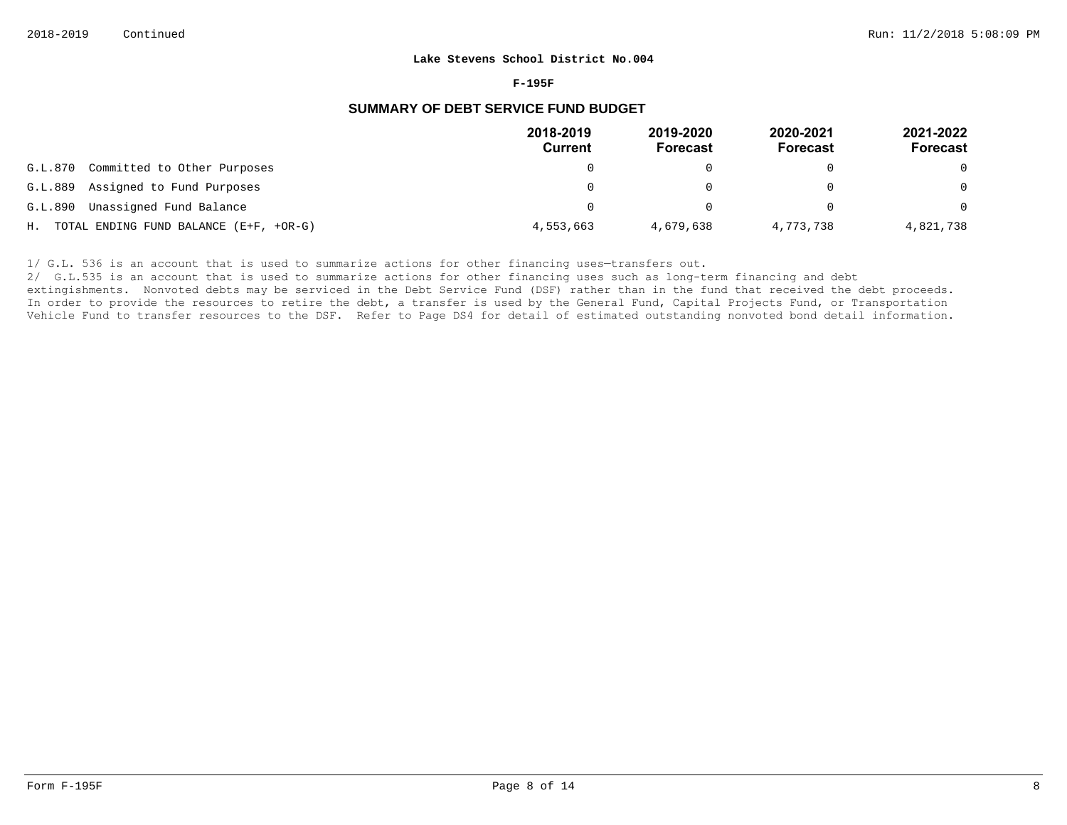#### **F-195F**

### **SUMMARY OF DEBT SERVICE FUND BUDGET**

|                                           | 2018-2019<br><b>Current</b> | 2019-2020<br><b>Forecast</b> | 2020-2021<br><b>Forecast</b> | 2021-2022<br><b>Forecast</b> |
|-------------------------------------------|-----------------------------|------------------------------|------------------------------|------------------------------|
| G.L.870<br>Committed to Other Purposes    |                             |                              |                              | $\Omega$                     |
| G.L.889<br>Assigned to Fund Purposes      |                             |                              |                              | $\Omega$                     |
| G.L.890<br>Unassigned Fund Balance        |                             |                              |                              | $\Omega$                     |
| H. TOTAL ENDING FUND BALANCE (E+F, +OR-G) | 4,553,663                   | 4,679,638                    | 4,773,738                    | 4,821,738                    |

1/ G.L. 536 is an account that is used to summarize actions for other financing uses-transfers out.

2/ G.L.535 is an account that is used to summarize actions for other financing uses such as long-term financing and debt

extingishments. Nonvoted debts may be serviced in the Debt Service Fund (DSF) rather than in the fund that received the debt proceeds. In order to provide the resources to retire the debt, a transfer is used by the General Fund, Capital Projects Fund, or Transportation Vehicle Fund to transfer resources to the DSF. Refer to Page DS4 for detail of estimated outstanding nonvoted bond detail information.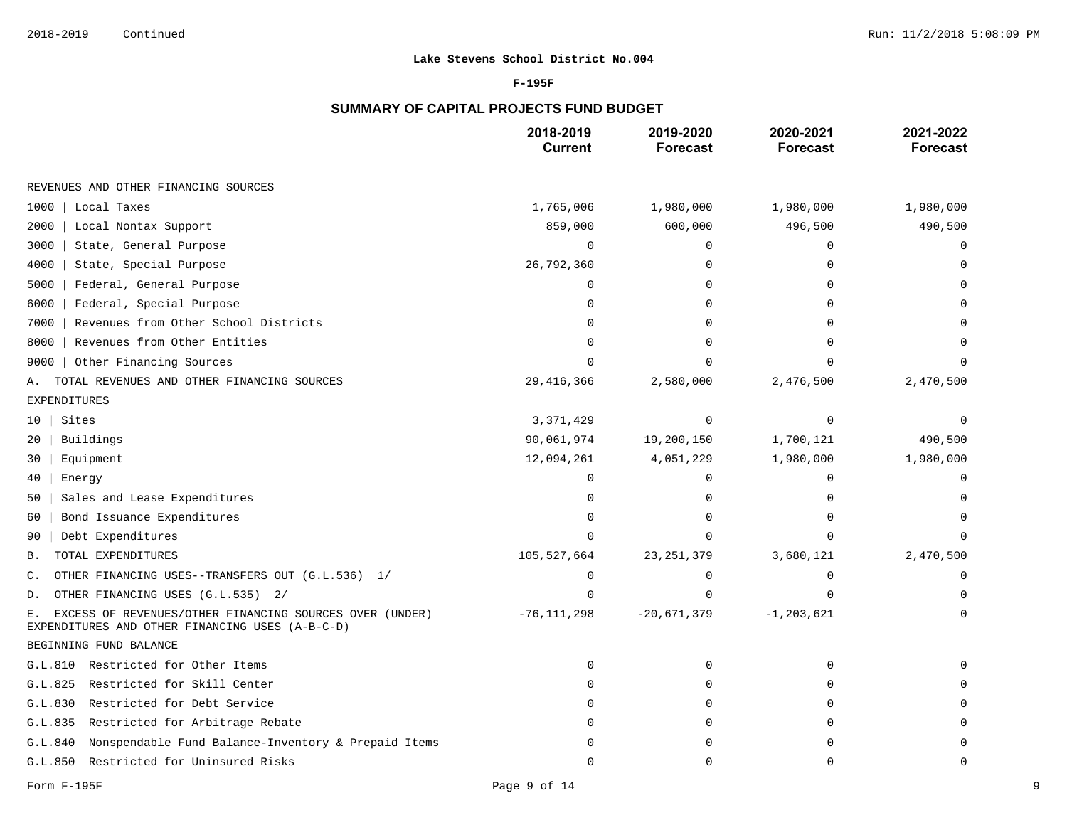### **F-195F**

# **SUMMARY OF CAPITAL PROJECTS FUND BUDGET**

|                                                                                                                  | 2018-2019<br><b>Current</b> | 2019-2020<br><b>Forecast</b> | 2020-2021<br><b>Forecast</b> | 2021-2022<br><b>Forecast</b> |
|------------------------------------------------------------------------------------------------------------------|-----------------------------|------------------------------|------------------------------|------------------------------|
| REVENUES AND OTHER FINANCING SOURCES                                                                             |                             |                              |                              |                              |
| 1000<br>Local Taxes                                                                                              | 1,765,006                   | 1,980,000                    | 1,980,000                    | 1,980,000                    |
| 2000<br>Local Nontax Support                                                                                     | 859,000                     | 600,000                      | 496,500                      | 490,500                      |
| 3000<br>State, General Purpose                                                                                   | $\mathbf 0$                 | 0                            | 0                            | 0                            |
| 4000<br>State, Special Purpose                                                                                   | 26,792,360                  | 0                            | $\Omega$                     | $\Omega$                     |
| 5000<br>Federal, General Purpose                                                                                 | $\mathbf 0$                 | 0                            | U                            |                              |
| 6000<br>Federal, Special Purpose                                                                                 | U                           | 0                            |                              |                              |
| Revenues from Other School Districts<br>7000                                                                     | U                           | U                            |                              |                              |
| 8000<br>Revenues from Other Entities                                                                             | $\cap$                      | 0                            |                              | $\Omega$                     |
| Other Financing Sources<br>9000                                                                                  | $\cap$                      |                              |                              |                              |
| TOTAL REVENUES AND OTHER FINANCING SOURCES<br>Α.                                                                 | 29,416,366                  | 2,580,000                    | 2,476,500                    | 2,470,500                    |
| EXPENDITURES                                                                                                     |                             |                              |                              |                              |
| Sites<br>10 <sup>1</sup>                                                                                         | 3,371,429                   | 0                            | 0                            | $\Omega$                     |
| Buildings<br>20                                                                                                  | 90,061,974                  | 19,200,150                   | 1,700,121                    | 490,500                      |
| Equipment<br>30                                                                                                  | 12,094,261                  | 4,051,229                    | 1,980,000                    | 1,980,000                    |
| Energy<br>40                                                                                                     | $\Omega$                    | $\Omega$                     | $\Omega$                     | $\Omega$                     |
| Sales and Lease Expenditures<br>50                                                                               | $\Omega$                    | 0                            | $\Omega$                     | $\Omega$                     |
| Bond Issuance Expenditures<br>60                                                                                 | $\Omega$                    | $\Omega$                     | $\Omega$                     | $\Omega$                     |
| Debt Expenditures<br>90                                                                                          | $\Omega$                    | 0                            | $\Omega$                     | $\Omega$                     |
| TOTAL EXPENDITURES<br>Β.                                                                                         | 105,527,664                 | 23, 251, 379                 | 3,680,121                    | 2,470,500                    |
| OTHER FINANCING USES--TRANSFERS OUT (G.L.536) 1/<br>С.                                                           | $\mathbf 0$                 | 0                            | 0                            | $\mathbf 0$                  |
| OTHER FINANCING USES (G.L.535) 2/<br>D.                                                                          |                             | U                            | $\Omega$                     |                              |
| EXCESS OF REVENUES/OTHER FINANCING SOURCES OVER (UNDER)<br>Ε.<br>EXPENDITURES AND OTHER FINANCING USES (A-B-C-D) | $-76, 111, 298$             | $-20,671,379$                | $-1, 203, 621$               | $\Omega$                     |
| BEGINNING FUND BALANCE                                                                                           |                             |                              |                              |                              |
| G.L.810 Restricted for Other Items                                                                               | $\mathbf 0$                 | 0                            | $\Omega$                     | $\cap$                       |
| G.L.825<br>Restricted for Skill Center                                                                           | $\Omega$                    | 0                            | $\Omega$                     |                              |
| G.L.830<br>Restricted for Debt Service                                                                           | $\Omega$                    | $\Omega$                     | $\Omega$                     | $\Omega$                     |
| Restricted for Arbitrage Rebate<br>G.L.835                                                                       | $\Omega$                    | 0                            | $\Omega$                     | $\Omega$                     |
| Nonspendable Fund Balance-Inventory & Prepaid Items<br>G.L.840                                                   | $\cap$                      | 0                            | U                            | $\Omega$                     |
| Restricted for Uninsured Risks<br>G.L.850                                                                        | $\Omega$                    | 0                            | 0                            | 0                            |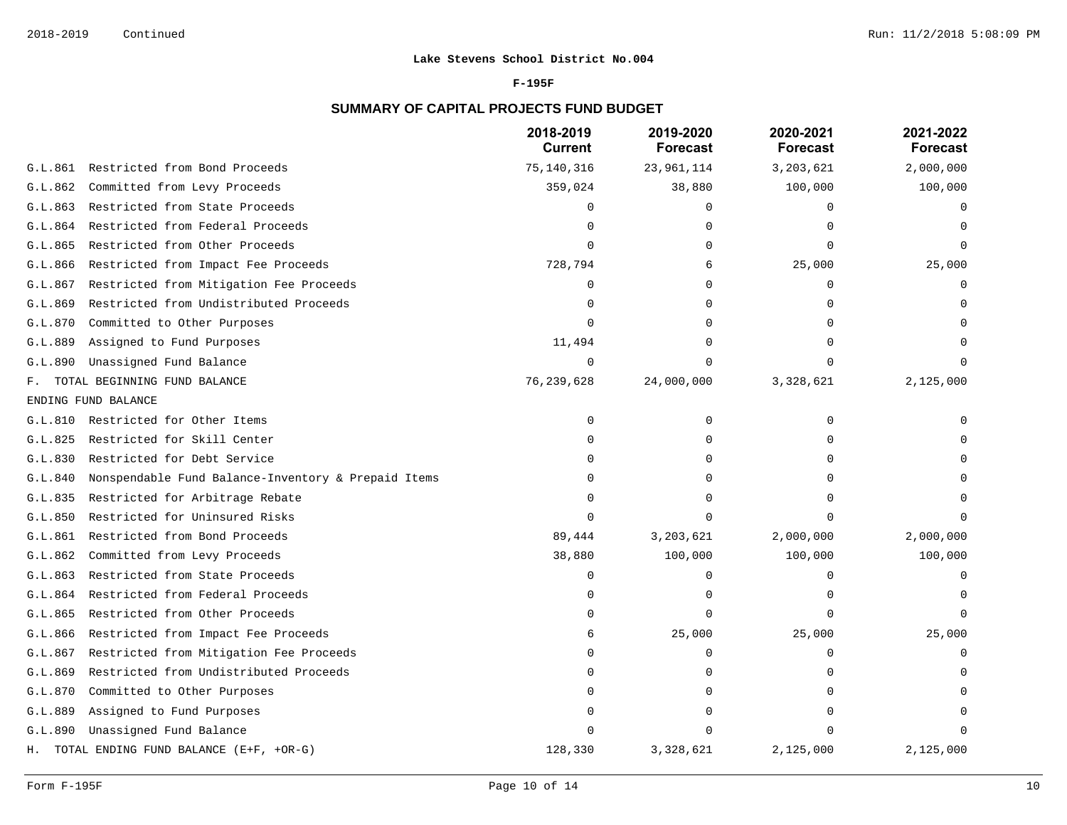#### **F-195F**

# **SUMMARY OF CAPITAL PROJECTS FUND BUDGET**

|         |                                                     | 2018-2019<br><b>Current</b> | 2019-2020<br><b>Forecast</b> | 2020-2021<br><b>Forecast</b> | 2021-2022<br><b>Forecast</b> |
|---------|-----------------------------------------------------|-----------------------------|------------------------------|------------------------------|------------------------------|
| G.L.861 | Restricted from Bond Proceeds                       | 75,140,316                  | 23,961,114                   | 3,203,621                    | 2,000,000                    |
| G.L.862 | Committed from Levy Proceeds                        | 359,024                     | 38,880                       | 100,000                      | 100,000                      |
| G.L.863 | Restricted from State Proceeds                      | $\Omega$                    | $\mathbf 0$                  | $\Omega$                     | 0                            |
| G.L.864 | Restricted from Federal Proceeds                    | $\Omega$                    | $\Omega$                     |                              |                              |
| G.L.865 | Restricted from Other Proceeds                      | $\Omega$                    | $\mathbf 0$                  | $\Omega$                     |                              |
| G.L.866 | Restricted from Impact Fee Proceeds                 | 728,794                     | 6                            | 25,000                       | 25,000                       |
| G.L.867 | Restricted from Mitigation Fee Proceeds             | $\Omega$                    | $\Omega$                     | $\Omega$                     |                              |
| G.L.869 | Restricted from Undistributed Proceeds              | $\Omega$                    | $\mathbf 0$                  | $\Omega$                     |                              |
| G.L.870 | Committed to Other Purposes                         | $\Omega$                    | 0                            | $\Omega$                     |                              |
| G.L.889 | Assigned to Fund Purposes                           | 11,494                      | $\cap$                       |                              |                              |
| G.L.890 | Unassigned Fund Balance                             | 0                           | $\Omega$                     |                              |                              |
| $F$ .   | TOTAL BEGINNING FUND BALANCE                        | 76,239,628                  | 24,000,000                   | 3,328,621                    | 2,125,000                    |
|         | ENDING FUND BALANCE                                 |                             |                              |                              |                              |
| G.L.810 | Restricted for Other Items                          | $\mathbf 0$                 | $\Omega$                     | $\Omega$                     |                              |
| G.L.825 | Restricted for Skill Center                         | $\Omega$                    | $\Omega$                     | $\Omega$                     |                              |
| G.L.830 | Restricted for Debt Service                         | <sup>n</sup>                | $\Omega$                     | ∩                            |                              |
| G.L.840 | Nonspendable Fund Balance-Inventory & Prepaid Items |                             | $\Omega$                     |                              |                              |
| G.L.835 | Restricted for Arbitrage Rebate                     | <sup>n</sup>                | $\cap$                       |                              |                              |
| G.L.850 | Restricted for Uninsured Risks                      | <sup>n</sup>                | $\Omega$                     |                              |                              |
| G.L.861 | Restricted from Bond Proceeds                       | 89,444                      | 3, 203, 621                  | 2,000,000                    | 2,000,000                    |
| G.L.862 | Committed from Levy Proceeds                        | 38,880                      | 100,000                      | 100,000                      | 100,000                      |
| G.L.863 | Restricted from State Proceeds                      | $\Omega$                    | 0                            | $\Omega$                     | $\cap$                       |
| G.L.864 | Restricted from Federal Proceeds                    | $\Omega$                    | $\mathbf 0$                  | $\cap$                       |                              |
| G.L.865 | Restricted from Other Proceeds                      |                             | $\mathbf 0$                  | $\Omega$                     |                              |
| G.L.866 | Restricted from Impact Fee Proceeds                 | 6                           | 25,000                       | 25,000                       | 25,000                       |
| G.L.867 | Restricted from Mitigation Fee Proceeds             | $\Omega$                    | $\mathbf 0$                  | $\Omega$                     | $\Omega$                     |
| G.L.869 | Restricted from Undistributed Proceeds              | <sup>n</sup>                | $\Omega$                     | ∩                            |                              |
| G.L.870 | Committed to Other Purposes                         |                             | 0                            | $\Omega$                     |                              |
| G.L.889 | Assigned to Fund Purposes                           |                             | 0                            |                              |                              |
| G.L.890 | Unassigned Fund Balance                             |                             |                              |                              |                              |
|         | H. TOTAL ENDING FUND BALANCE (E+F, +OR-G)           | 128,330                     | 3,328,621                    | 2,125,000                    | 2,125,000                    |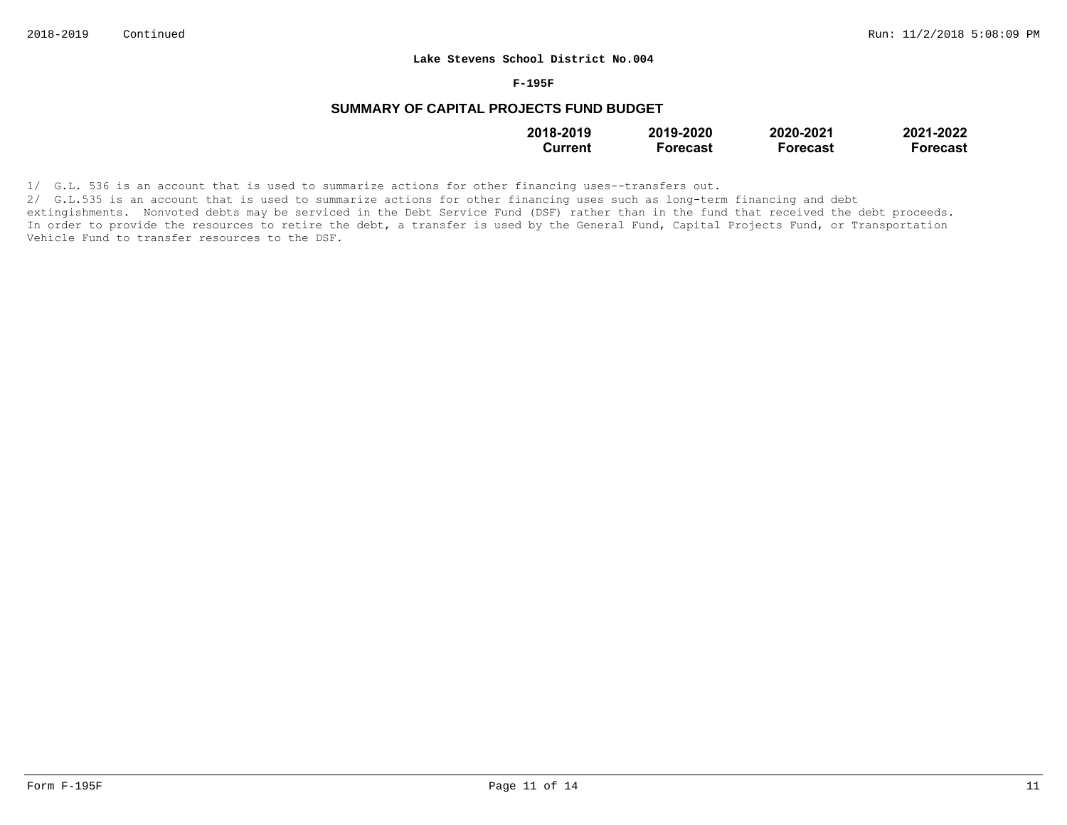#### **F-195F**

# **SUMMARY OF CAPITAL PROJECTS FUND BUDGET**

| 2018-2019 | 2019-2020       | 2020-2021       | 2021-2022 |
|-----------|-----------------|-----------------|-----------|
| Current   | <b>Forecast</b> | <b>Forecast</b> | Forecast  |

1/ G.L. 536 is an account that is used to summarize actions for other financing uses--transfers out.

2/ G.L.535 is an account that is used to summarize actions for other financing uses such as long-term financing and debt extingishments. Nonvoted debts may be serviced in the Debt Service Fund (DSF) rather than in the fund that received the debt proceeds. In order to provide the resources to retire the debt, a transfer is used by the General Fund, Capital Projects Fund, or Transportation Vehicle Fund to transfer resources to the DSF.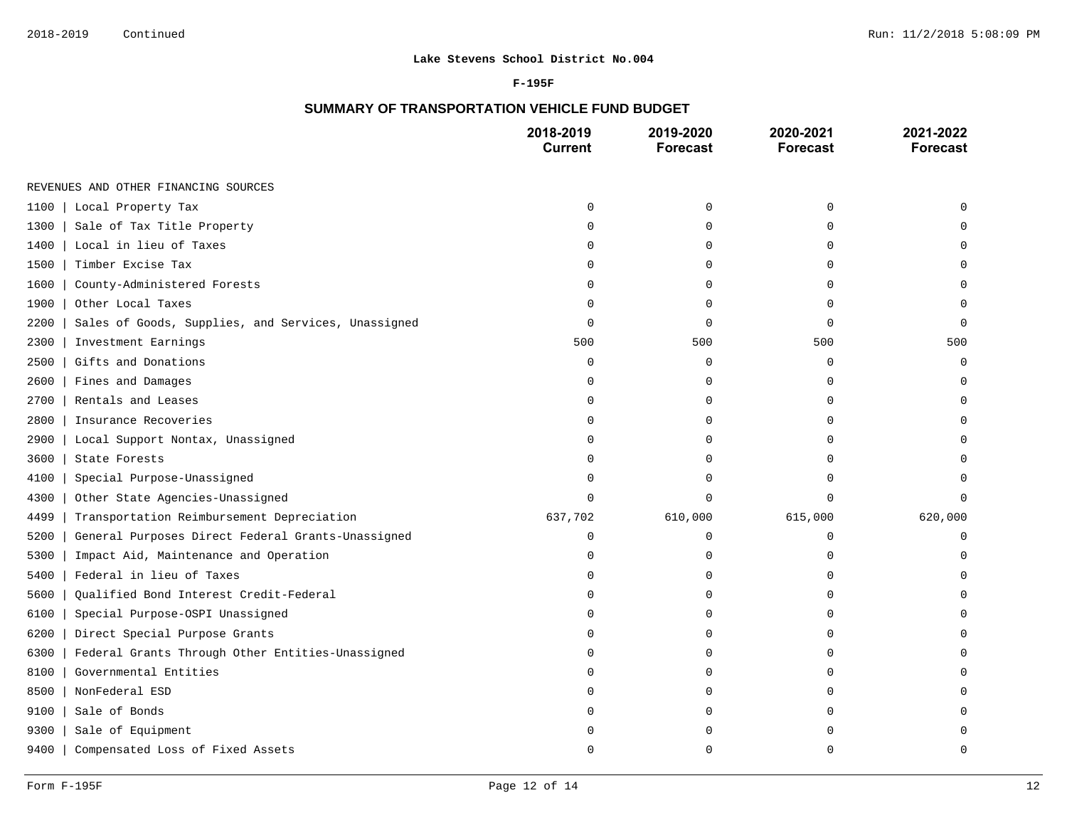### **F-195F**

# **SUMMARY OF TRANSPORTATION VEHICLE FUND BUDGET**

|                                                            | 2018-2019<br><b>Current</b> | 2019-2020<br><b>Forecast</b> | 2020-2021<br><b>Forecast</b> | 2021-2022<br><b>Forecast</b> |
|------------------------------------------------------------|-----------------------------|------------------------------|------------------------------|------------------------------|
| REVENUES AND OTHER FINANCING SOURCES                       |                             |                              |                              |                              |
| 1100<br>Local Property Tax                                 | $\Omega$                    | $\mathbf 0$                  | $\mathbf 0$                  |                              |
| 1300<br>Sale of Tax Title Property                         | 0                           | 0                            | 0                            |                              |
| Local in lieu of Taxes<br>1400                             | U                           | 0                            | 0                            |                              |
| Timber Excise Tax<br>1500                                  | O                           | $\Omega$                     | $\Omega$                     |                              |
| 1600<br>County-Administered Forests                        | O                           | $\mathbf 0$                  | $\Omega$                     |                              |
| 1900<br>Other Local Taxes                                  | 0                           | $\mathbf 0$                  | 0                            | $\Omega$                     |
| Sales of Goods, Supplies, and Services, Unassigned<br>2200 | $\Omega$                    | $\mathbf 0$                  | $\Omega$                     | $\Omega$                     |
| 2300<br>Investment Earnings                                | 500                         | 500                          | 500                          | 500                          |
| Gifts and Donations<br>2500                                | 0                           | 0                            | 0                            | 0                            |
| Fines and Damages<br>2600                                  | $\mathbf 0$                 | 0                            | $\mathbf 0$                  | U                            |
| Rentals and Leases<br>2700                                 | $\Omega$                    | 0                            | $\Omega$                     | U                            |
| Insurance Recoveries<br>2800                               | O                           | $\mathbf 0$                  | $\Omega$                     |                              |
| 2900<br>Local Support Nontax, Unassigned                   | O                           | $\mathbf 0$                  | 0                            |                              |
| 3600<br>State Forests                                      | U                           | $\Omega$                     | $\cap$                       |                              |
| 4100<br>Special Purpose-Unassigned                         | O                           | $\Omega$                     | $\Omega$                     |                              |
| 4300<br>Other State Agencies-Unassigned                    | $\Omega$                    | $\mathbf 0$                  | $\mathbf 0$                  | 0                            |
| Transportation Reimbursement Depreciation<br>4499          | 637,702                     | 610,000                      | 615,000                      | 620,000                      |
| 5200<br>General Purposes Direct Federal Grants-Unassigned  | $\mathbf 0$                 | $\mathbf 0$                  | $\mathbf 0$                  | $\Omega$                     |
| Impact Aid, Maintenance and Operation<br>5300              | 0                           | $\mathbf 0$                  | 0                            | U                            |
| Federal in lieu of Taxes<br>5400                           | 0                           | 0                            | $\mathbf 0$                  | U                            |
| Qualified Bond Interest Credit-Federal<br>5600             | $\Omega$                    | 0                            | $\Omega$                     | U                            |
| 6100<br>Special Purpose-OSPI Unassigned                    | $\Omega$                    | $\mathbf 0$                  | $\Omega$                     |                              |
| 6200<br>Direct Special Purpose Grants                      | $\Omega$                    | 0                            | $\mathbf 0$                  | U                            |
| Federal Grants Through Other Entities-Unassigned<br>6300   | 0                           | 0                            | $\cap$                       |                              |
| Governmental Entities<br>8100                              | U                           | 0                            | $\Omega$                     |                              |
| 8500<br>NonFederal ESD                                     | O                           | $\mathbf 0$                  | 0                            |                              |
| 9100<br>Sale of Bonds                                      | O                           | 0                            | O                            |                              |
| 9300<br>Sale of Equipment                                  |                             | O                            | U                            |                              |
| 9400<br>Compensated Loss of Fixed Assets                   | U                           | $\cap$                       | $\cap$                       | U                            |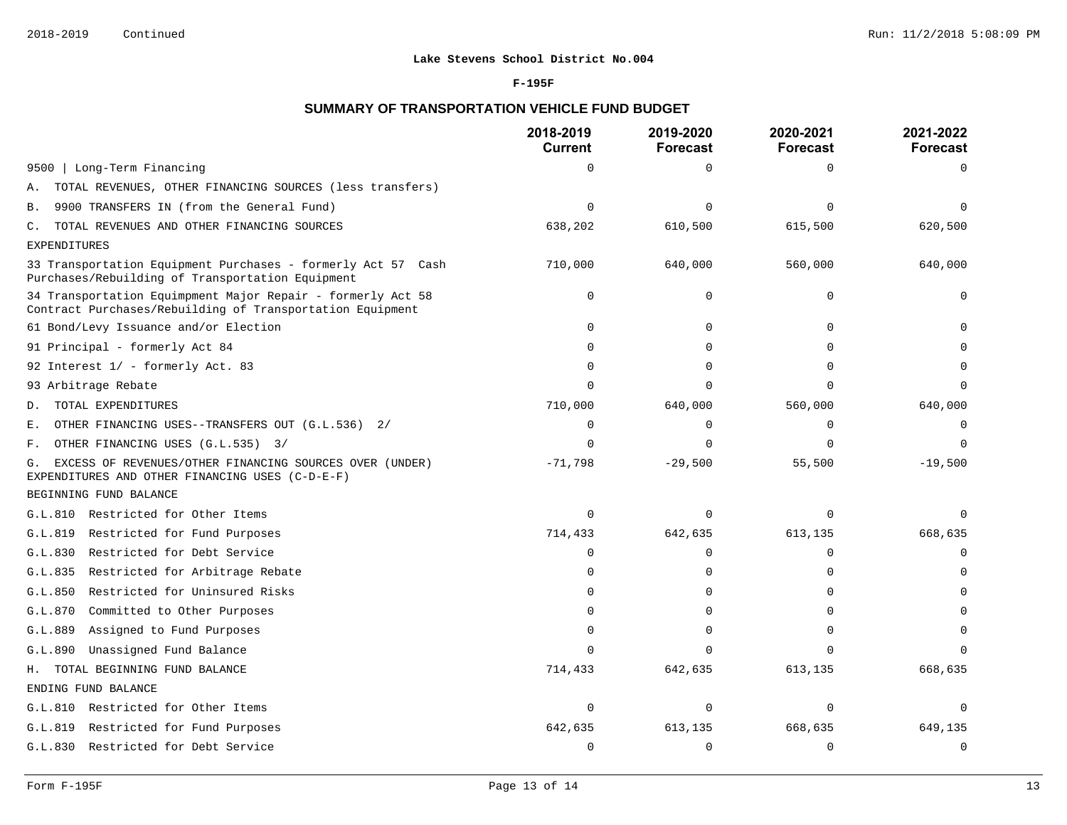### **F-195F**

# **SUMMARY OF TRANSPORTATION VEHICLE FUND BUDGET**

|                                                                                                                          | 2018-2019<br><b>Current</b> | 2019-2020<br><b>Forecast</b> | 2020-2021<br><b>Forecast</b> | 2021-2022<br><b>Forecast</b> |
|--------------------------------------------------------------------------------------------------------------------------|-----------------------------|------------------------------|------------------------------|------------------------------|
| Long-Term Financing<br>9500                                                                                              | $\Omega$                    | $\mathbf 0$                  | $\Omega$                     | $\Omega$                     |
| TOTAL REVENUES, OTHER FINANCING SOURCES (less transfers)<br>Α.                                                           |                             |                              |                              |                              |
| 9900 TRANSFERS IN (from the General Fund)<br>Β.                                                                          | $\Omega$                    | $\Omega$                     | $\Omega$                     | $\Omega$                     |
| TOTAL REVENUES AND OTHER FINANCING SOURCES<br>$\mathbb{C}$ .                                                             | 638,202                     | 610,500                      | 615,500                      | 620,500                      |
| <b>EXPENDITURES</b>                                                                                                      |                             |                              |                              |                              |
| 33 Transportation Equipment Purchases - formerly Act 57 Cash<br>Purchases/Rebuilding of Transportation Equipment         | 710,000                     | 640,000                      | 560,000                      | 640,000                      |
| 34 Transportation Equimpment Major Repair - formerly Act 58<br>Contract Purchases/Rebuilding of Transportation Equipment | $\Omega$                    | $\mathbf 0$                  | $\Omega$                     |                              |
| 61 Bond/Levy Issuance and/or Election                                                                                    | 0                           | $\mathbf 0$                  | $\Omega$                     |                              |
| 91 Principal - formerly Act 84                                                                                           | ∩                           | $\Omega$                     | $\Omega$                     |                              |
| 92 Interest 1/ - formerly Act. 83                                                                                        | $\Omega$                    | $\Omega$                     | $\Omega$                     |                              |
| 93 Arbitrage Rebate                                                                                                      | $\Omega$                    | $\Omega$                     | $\Omega$                     | $\Omega$                     |
| TOTAL EXPENDITURES<br>D.                                                                                                 | 710,000                     | 640,000                      | 560,000                      | 640,000                      |
| OTHER FINANCING USES--TRANSFERS OUT (G.L.536) 2/<br>Ε.                                                                   | $\Omega$                    | $\Omega$                     | $\Omega$                     | 0                            |
| OTHER FINANCING USES (G.L.535) 3/<br>F.                                                                                  | $\Omega$                    | $\mathbf 0$                  | $\Omega$                     | $\Omega$                     |
| EXCESS OF REVENUES/OTHER FINANCING SOURCES OVER (UNDER)<br>G.<br>EXPENDITURES AND OTHER FINANCING USES (C-D-E-F)         | $-71,798$                   | $-29,500$                    | 55,500                       | $-19,500$                    |
| BEGINNING FUND BALANCE                                                                                                   |                             |                              |                              |                              |
| G.L.810 Restricted for Other Items                                                                                       | $\Omega$                    | $\Omega$                     | $\Omega$                     | n                            |
| G.L.819 Restricted for Fund Purposes                                                                                     | 714,433                     | 642,635                      | 613,135                      | 668,635                      |
| Restricted for Debt Service<br>G.L.830                                                                                   | $\Omega$                    | $\mathbf 0$                  | $\Omega$                     | $\Omega$                     |
| G.L.835 Restricted for Arbitrage Rebate                                                                                  | $\Omega$                    | 0                            | $\Omega$                     | $\cap$                       |
| Restricted for Uninsured Risks<br>G.L.850                                                                                | $\Omega$                    | $\Omega$                     | $\Omega$                     |                              |
| G.L.870 Committed to Other Purposes                                                                                      | $\Omega$                    | $\Omega$                     | $\Omega$                     |                              |
| G.L.889 Assigned to Fund Purposes                                                                                        | $\Omega$                    | $\Omega$                     | $\Omega$                     | $\Omega$                     |
| G.L.890<br>Unassigned Fund Balance                                                                                       | $\Omega$                    | $\Omega$                     | n                            | $\cap$                       |
| H. TOTAL BEGINNING FUND BALANCE                                                                                          | 714,433                     | 642,635                      | 613,135                      | 668,635                      |
| ENDING FUND BALANCE                                                                                                      |                             |                              |                              |                              |
| G.L.810 Restricted for Other Items                                                                                       | $\mathbf 0$                 | $\mathbf 0$                  | $\Omega$                     | $\Omega$                     |
| G.L.819 Restricted for Fund Purposes                                                                                     | 642,635                     | 613,135                      | 668,635                      | 649,135                      |
| G.L.830 Restricted for Debt Service                                                                                      | $\Omega$                    | $\mathbf 0$                  | $\Omega$                     | $\mathbf 0$                  |